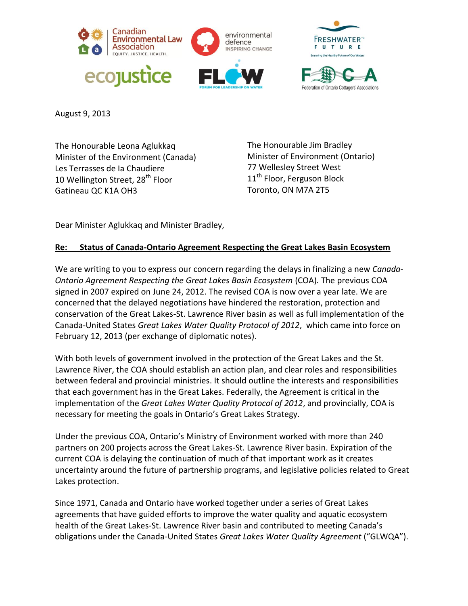





August 9, 2013

The Honourable Leona Aglukkaq Minister of the Environment (Canada) Les Terrasses de Ia Chaudiere 10 Wellington Street, 28<sup>th</sup> Floor Gatineau QC K1A OH3

The Honourable Jim Bradley Minister of Environment (Ontario) 77 Wellesley Street West 11<sup>th</sup> Floor, Ferguson Block Toronto, ON M7A 2T5

Dear Minister Aglukkaq and Minister Bradley,

## **Re: Status of Canada-Ontario Agreement Respecting the Great Lakes Basin Ecosystem**

We are writing to you to express our concern regarding the delays in finalizing a new *Canada-Ontario Agreement Respecting the Great Lakes Basin Ecosystem* (COA)*.* The previous COA signed in 2007 expired on June 24, 2012. The revised COA is now over a year late. We are concerned that the delayed negotiations have hindered the restoration, protection and conservation of the Great Lakes-St. Lawrence River basin as well as full implementation of the Canada-United States *Great Lakes Water Quality Protocol of 2012*, which came into force on February 12, 2013 (per exchange of diplomatic notes).

With both levels of government involved in the protection of the Great Lakes and the St. Lawrence River, the COA should establish an action plan, and clear roles and responsibilities between federal and provincial ministries. It should outline the interests and responsibilities that each government has in the Great Lakes. Federally, the Agreement is critical in the implementation of the *Great Lakes Water Quality Protocol of 2012*, and provincially, COA is necessary for meeting the goals in Ontario's Great Lakes Strategy.

Under the previous COA, Ontario's Ministry of Environment worked with more than 240 partners on 200 projects across the Great Lakes-St. Lawrence River basin. Expiration of the current COA is delaying the continuation of much of that important work as it creates uncertainty around the future of partnership programs, and legislative policies related to Great Lakes protection.

Since 1971, Canada and Ontario have worked together under a series of Great Lakes agreements that have guided efforts to improve the water quality and aquatic ecosystem health of the Great Lakes-St. Lawrence River basin and contributed to meeting Canada's obligations under the Canada-United States *Great Lakes Water Quality Agreement* ("GLWQA").